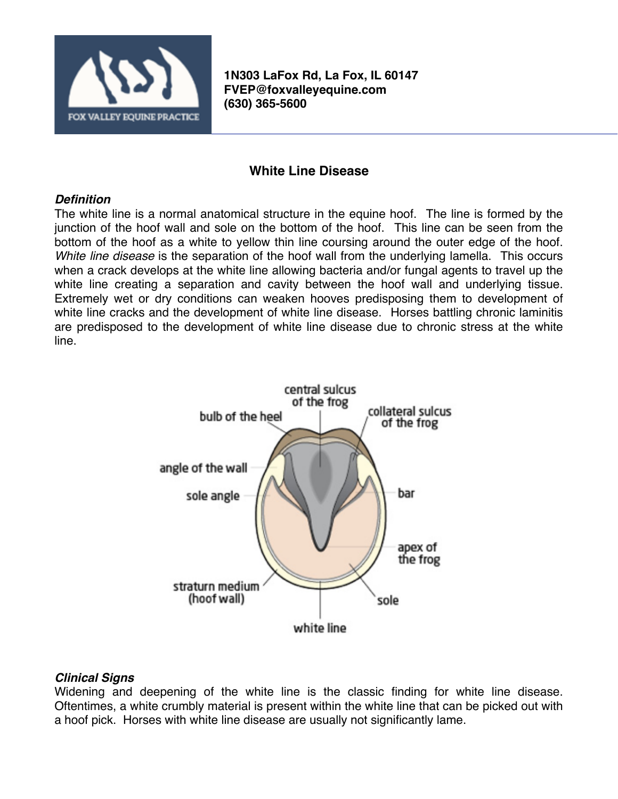

**1N303 LaFox Rd, La Fox, IL 60147 [FVEP@foxvalleyequine.com](mailto:FVEP@foxvalleyequine.com) (630) 365-5600**

# **White Line Disease**

### *Definition*

The white line is a normal anatomical structure in the equine hoof. The line is formed by the junction of the hoof wall and sole on the bottom of the hoof. This line can be seen from the bottom of the hoof as a white to yellow thin line coursing around the outer edge of the hoof. *White line disease* is the separation of the hoof wall from the underlying lamella. This occurs when a crack develops at the white line allowing bacteria and/or fungal agents to travel up the white line creating a separation and cavity between the hoof wall and underlying tissue. Extremely wet or dry conditions can weaken hooves predisposing them to development of white line cracks and the development of white line disease. Horses battling chronic laminitis are predisposed to the development of white line disease due to chronic stress at the white line.



## *Clinical Signs*

Widening and deepening of the white line is the classic finding for white line disease. Oftentimes, a white crumbly material is present within the white line that can be picked out with a hoof pick. Horses with white line disease are usually not significantly lame.